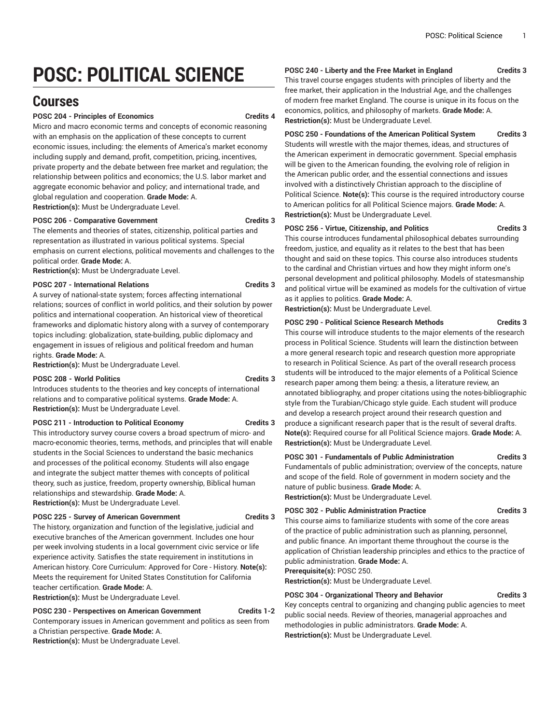# **POSC: POLITICAL SCIENCE**

## **Courses**

#### **POSC 204 - Principles of Economics Credits 4**

Micro and macro economic terms and concepts of economic reasoning with an emphasis on the application of these concepts to current economic issues, including: the elements of America's market economy including supply and demand, profit, competition, pricing, incentives, private property and the debate between free market and regulation; the relationship between politics and economics; the U.S. labor market and aggregate economic behavior and policy; and international trade, and global regulation and cooperation. **Grade Mode:** A. **Restriction(s):** Must be Undergraduate Level.

**POSC 206 - Comparative Government Credits 3**

The elements and theories of states, citizenship, political parties and representation as illustrated in various political systems. Special emphasis on current elections, political movements and challenges to the political order. **Grade Mode:** A.

**Restriction(s):** Must be Undergraduate Level.

#### POSC 207 - International Relations **Credits 3**

A survey of national-state system; forces affecting international relations; sources of conflict in world politics, and their solution by power politics and international cooperation. An historical view of theoretical frameworks and diplomatic history along with a survey of contemporary topics including: globalization, state-building, public diplomacy and engagement in issues of religious and political freedom and human rights. **Grade Mode:** A.

**Restriction(s):** Must be Undergraduate Level.

#### **POSC 208 - World Politics Credits 3**

Introduces students to the theories and key concepts of international relations and to comparative political systems. **Grade Mode:** A. **Restriction(s):** Must be Undergraduate Level.

#### **POSC 211 - Introduction to Political Economy Credits 3**

This introductory survey course covers a broad spectrum of micro- and macro-economic theories, terms, methods, and principles that will enable students in the Social Sciences to understand the basic mechanics and processes of the political economy. Students will also engage and integrate the subject matter themes with concepts of political theory, such as justice, freedom, property ownership, Biblical human relationships and stewardship. **Grade Mode:** A. **Restriction(s):** Must be Undergraduate Level.

**POSC 225 - Survey of American Government Credits 3**

The history, organization and function of the legislative, judicial and executive branches of the American government. Includes one hour per week involving students in a local government civic service or life experience activity. Satisfies the state requirement in institutions in American history. Core Curriculum: Approved for Core - History. **Note(s):** Meets the requirement for United States Constitution for California teacher certification. **Grade Mode:** A.

**Restriction(s):** Must be Undergraduate Level.

#### **POSC 230 - Perspectives on American Government Credits 1-2**

Contemporary issues in American government and politics as seen from a Christian perspective. **Grade Mode:** A. **Restriction(s):** Must be Undergraduate Level.

**POSC 240 - Liberty and the Free Market in England Credits 3**

This travel course engages students with principles of liberty and the free market, their application in the Industrial Age, and the challenges of modern free market England. The course is unique in its focus on the economics, politics, and philosophy of markets. **Grade Mode:** A. **Restriction(s):** Must be Undergraduate Level.

**POSC 250 - Foundations of the American Political System Credits 3** Students will wrestle with the major themes, ideas, and structures of the American experiment in democratic government. Special emphasis will be given to the American founding, the evolving role of religion in the American public order, and the essential connections and issues involved with a distinctively Christian approach to the discipline of Political Science. **Note(s):** This course is the required introductory course to American politics for all Political Science majors. **Grade Mode:** A. **Restriction(s):** Must be Undergraduate Level.

#### **POSC 256 - Virtue, Citizenship, and Politics Credits 3**

This course introduces fundamental philosophical debates surrounding freedom, justice, and equality as it relates to the best that has been thought and said on these topics. This course also introduces students to the cardinal and Christian virtues and how they might inform one's personal development and political philosophy. Models of statesmanship and political virtue will be examined as models for the cultivation of virtue as it applies to politics. **Grade Mode:** A.

**Restriction(s):** Must be Undergraduate Level.

**POSC 290 - Political Science Research Methods Credits 3**

This course will introduce students to the major elements of the research process in Political Science. Students will learn the distinction between a more general research topic and research question more appropriate to research in Political Science. As part of the overall research process students will be introduced to the major elements of a Political Science research paper among them being: a thesis, a literature review, an annotated bibliography, and proper citations using the notes-bibliographic style from the Turabian/Chicago style guide. Each student will produce and develop a research project around their research question and produce a significant research paper that is the result of several drafts. **Note(s):** Required course for all Political Science majors. **Grade Mode:** A. **Restriction(s):** Must be Undergraduate Level.

#### **POSC 301 - Fundamentals of Public Administration Credits 3**

Fundamentals of public administration; overview of the concepts, nature and scope of the field. Role of government in modern society and the nature of public business. **Grade Mode:** A. **Restriction(s):** Must be Undergraduate Level.

#### POSC 302 - Public Administration Practice **Credits 3**

This course aims to familiarize students with some of the core areas of the practice of public administration such as planning, personnel, and public finance. An important theme throughout the course is the application of Christian leadership principles and ethics to the practice of public administration. **Grade Mode:** A.

#### **Prerequisite(s):** POSC 250.

**Restriction(s):** Must be Undergraduate Level.

#### **POSC 304 - Organizational Theory and Behavior Credits 3**

Key concepts central to organizing and changing public agencies to meet public social needs. Review of theories, managerial approaches and methodologies in public administrators. **Grade Mode:** A. **Restriction(s):** Must be Undergraduate Level.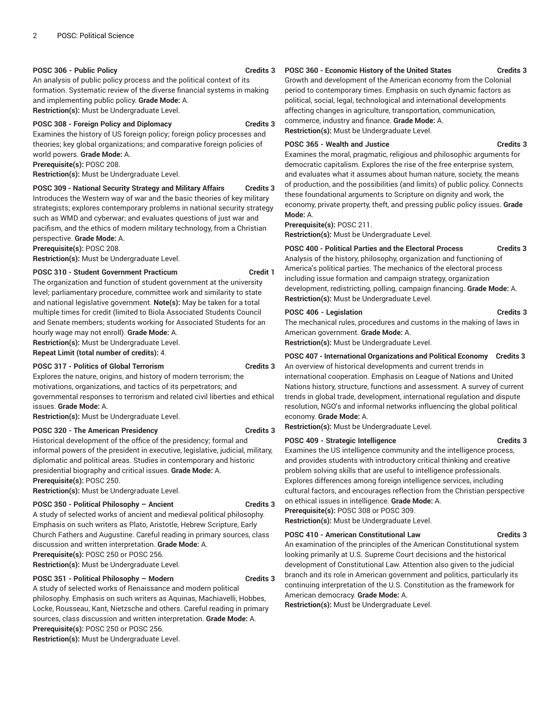#### **POSC 306 - Public Policy Credits 3**

An analysis of public policy process and the political context of its formation. Systematic review of the diverse financial systems in making and implementing public policy. **Grade Mode:** A. **Restriction(s):** Must be Undergraduate Level.

#### **POSC 308 - Foreign Policy and Diplomacy Credits 3**

Examines the history of US foreign policy; foreign policy processes and theories; key global organizations; and comparative foreign policies of world powers. **Grade Mode:** A.

**Prerequisite(s):** POSC 208.

**Restriction(s):** Must be Undergraduate Level.

#### **POSC 309 - National Security Strategy and Military Affairs Credits 3**

Introduces the Western way of war and the basic theories of key military strategists; explores contemporary problems in national security strategy such as WMD and cyberwar; and evaluates questions of just war and pacifism, and the ethics of modern military technology, from a Christian perspective. **Grade Mode:** A.

**Prerequisite(s):** POSC 208.

**Restriction(s):** Must be Undergraduate Level.

#### **POSC 310 - Student Government Practicum Credit 1**

The organization and function of student government at the university level; parliamentary procedure, committee work and similarity to state and national legislative government. **Note(s):** May be taken for a total multiple times for credit (limited to Biola Associated Students Council and Senate members; students working for Associated Students for an hourly wage may not enroll). **Grade Mode:** A.

**Restriction(s):** Must be Undergraduate Level.

**Repeat Limit (total number of credits):** 4.

#### **POSC 317 - Politics of Global Terrorism Credits 3**

Explores the nature, origins, and history of modern terrorism; the motivations, organizations, and tactics of its perpetrators; and governmental responses to terrorism and related civil liberties and ethical issues. **Grade Mode:** A.

**Restriction(s):** Must be Undergraduate Level.

### **POSC 320 - The American Presidency Credits 3**

Historical development of the office of the presidency; formal and informal powers of the president in executive, legislative, judicial, military, diplomatic and political areas. Studies in contemporary and historic presidential biography and critical issues. **Grade Mode:** A. **Prerequisite(s):** POSC 250.

**Restriction(s):** Must be Undergraduate Level.

#### **POSC 350 - Political Philosophy – Ancient Credits 3**

A study of selected works of ancient and medieval political philosophy. Emphasis on such writers as Plato, Aristotle, Hebrew Scripture, Early Church Fathers and Augustine. Careful reading in primary sources, class discussion and written interpretation. **Grade Mode:** A.

**Prerequisite(s):** POSC 250 or POSC 256.

### **Restriction(s):** Must be Undergraduate Level.

#### **POSC 351 - Political Philosophy – Modern Credits 3**

A study of selected works of Renaissance and modern political philosophy. Emphasis on such writers as Aquinas, Machiavelli, Hobbes, Locke, Rousseau, Kant, Nietzsche and others. Careful reading in primary sources, class discussion and written interpretation. **Grade Mode:** A. **Prerequisite(s):** POSC 250 or POSC 256.

**Restriction(s):** Must be Undergraduate Level.

#### **POSC 360 - Economic History of the United States Credits 3**

Growth and development of the American economy from the Colonial period to contemporary times. Emphasis on such dynamic factors as political, social, legal, technological and international developments affecting changes in agriculture, transportation, communication, commerce, industry and finance. **Grade Mode:** A. **Restriction(s):** Must be Undergraduate Level.

#### **POSC 365 - Wealth and Justice Credits 3**

Examines the moral, pragmatic, religious and philosophic arguments for democratic capitalism. Explores the rise of the free enterprise system, and evaluates what it assumes about human nature, society, the means of production, and the possibilities (and limits) of public policy. Connects these foundational arguments to Scripture on dignity and work, the economy, private property, theft, and pressing public policy issues. **Grade Mode:** A.

**Prerequisite(s):** POSC 211.

**Restriction(s):** Must be Undergraduate Level.

### **POSC 400 - Political Parties and the Electoral Process Credits 3**

Analysis of the history, philosophy, organization and functioning of America's political parties. The mechanics of the electoral process including issue formation and campaign strategy, organization development, redistricting, polling, campaign financing. **Grade Mode:** A. **Restriction(s):** Must be Undergraduate Level.

#### POSC 406 - Legislation **Credits 3**

The mechanical rules, procedures and customs in the making of laws in American government. **Grade Mode:** A.

**Restriction(s):** Must be Undergraduate Level.

#### **POSC 407 - International Organizations and Political Economy Credits 3**

An overview of historical developments and current trends in international cooperation. Emphasis on League of Nations and United Nations history, structure, functions and assessment. A survey of current trends in global trade, development, international regulation and dispute resolution, NGO's and informal networks influencing the global political economy. **Grade Mode:** A.

**Restriction(s):** Must be Undergraduate Level.

#### **POSC 409 - Strategic Intelligence Credits 3**

Examines the US intelligence community and the intelligence process, and provides students with introductory critical thinking and creative problem solving skills that are useful to intelligence professionals. Explores differences among foreign intelligence services, including cultural factors, and encourages reflection from the Christian perspective on ethical issues in intelligence. **Grade Mode:** A.

**Prerequisite(s):** POSC 308 or POSC 309. **Restriction(s):** Must be Undergraduate Level.

#### **POSC 410 - American Constitutional Law Credits 3**

An examination of the principles of the American Constitutional system looking primarily at U.S. Supreme Court decisions and the historical development of Constitutional Law. Attention also given to the judicial branch and its role in American government and politics, particularly its continuing interpretation of the U.S. Constitution as the framework for American democracy. **Grade Mode:** A.

**Restriction(s):** Must be Undergraduate Level.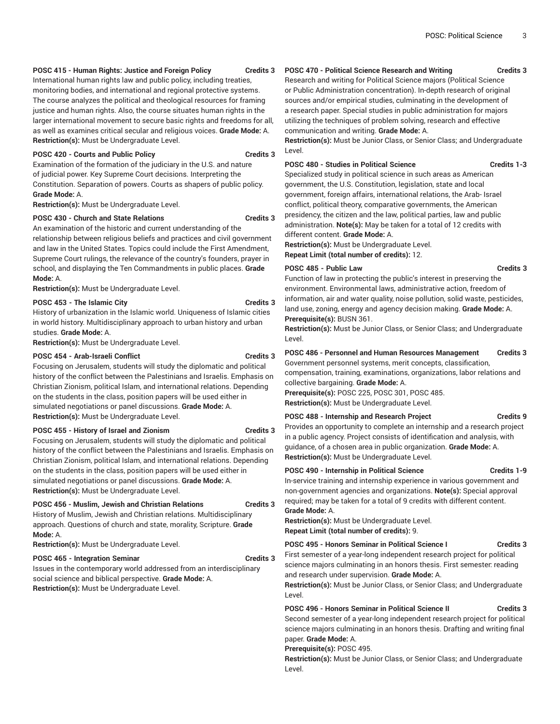#### **POSC 415 - Human Rights: Justice and Foreign Policy Credits 3**

International human rights law and public policy, including treaties, monitoring bodies, and international and regional protective systems. The course analyzes the political and theological resources for framing justice and human rights. Also, the course situates human rights in the larger international movement to secure basic rights and freedoms for all, as well as examines critical secular and religious voices. **Grade Mode:** A. **Restriction(s):** Must be Undergraduate Level.

#### **POSC 420 - Courts and Public Policy Credits 3**

Examination of the formation of the judiciary in the U.S. and nature of judicial power. Key Supreme Court decisions. Interpreting the Constitution. Separation of powers. Courts as shapers of public policy. **Grade Mode:** A.

**Restriction(s):** Must be Undergraduate Level.

#### **POSC 430 - Church and State Relations Credits 3**

An examination of the historic and current understanding of the relationship between religious beliefs and practices and civil government and law in the United States. Topics could include the First Amendment, Supreme Court rulings, the relevance of the country's founders, prayer in school, and displaying the Ten Commandments in public places. **Grade Mode:** A.

**Restriction(s):** Must be Undergraduate Level.

#### **POSC 453 - The Islamic City Credits 3**

History of urbanization in the Islamic world. Uniqueness of Islamic cities in world history. Multidisciplinary approach to urban history and urban studies. **Grade Mode:** A.

**Restriction(s):** Must be Undergraduate Level.

#### **POSC 454 - Arab-Israeli Conflict Credits 3**

Focusing on Jerusalem, students will study the diplomatic and political history of the conflict between the Palestinians and Israelis. Emphasis on Christian Zionism, political Islam, and international relations. Depending on the students in the class, position papers will be used either in simulated negotiations or panel discussions. **Grade Mode:** A. **Restriction(s):** Must be Undergraduate Level.

#### **POSC 455 - History of Israel and Zionism Credits 3**

Focusing on Jerusalem, students will study the diplomatic and political history of the conflict between the Palestinians and Israelis. Emphasis on Christian Zionism, political Islam, and international relations. Depending on the students in the class, position papers will be used either in simulated negotiations or panel discussions. **Grade Mode:** A. **Restriction(s):** Must be Undergraduate Level.

#### **POSC 456 - Muslim, Jewish and Christian Relations Credits 3**

History of Muslim, Jewish and Christian relations. Multidisciplinary approach. Questions of church and state, morality, Scripture. **Grade Mode:** A.

**Restriction(s):** Must be Undergraduate Level.

#### POSC 465 - Integration Seminar **Credits 3**

Issues in the contemporary world addressed from an interdisciplinary social science and biblical perspective. **Grade Mode:** A. **Restriction(s):** Must be Undergraduate Level.

### **POSC 470 - Political Science Research and Writing Credits 3**

Research and writing for Political Science majors (Political Science or Public Administration concentration). In-depth research of original sources and/or empirical studies, culminating in the development of a research paper. Special studies in public administration for majors utilizing the techniques of problem solving, research and effective communication and writing. **Grade Mode:** A.

**Restriction(s):** Must be Junior Class, or Senior Class; and Undergraduate Level.

#### **POSC 480 - Studies in Political Science Credits 1-3**

Specialized study in political science in such areas as American government, the U.S. Constitution, legislation, state and local government, foreign affairs, international relations, the Arab- Israel conflict, political theory, comparative governments, the American presidency, the citizen and the law, political parties, law and public administration. **Note(s):** May be taken for a total of 12 credits with different content. **Grade Mode:** A.

**Restriction(s):** Must be Undergraduate Level.

**Repeat Limit (total number of credits):** 12.

#### POSC 485 - Public Law **Credits 3**

Function of law in protecting the public's interest in preserving the environment. Environmental laws, administrative action, freedom of information, air and water quality, noise pollution, solid waste, pesticides, land use, zoning, energy and agency decision making. **Grade Mode:** A. **Prerequisite(s):** BUSN 361.

**Restriction(s):** Must be Junior Class, or Senior Class; and Undergraduate Level.

#### **POSC 486 - Personnel and Human Resources Management Credits 3**

Government personnel systems, merit concepts, classification, compensation, training, examinations, organizations, labor relations and collective bargaining. **Grade Mode:** A.

**Prerequisite(s):** POSC 225, POSC 301, POSC 485. **Restriction(s):** Must be Undergraduate Level.

### **POSC 488 - Internship and Research Project Credits 9**

Provides an opportunity to complete an internship and a research project in a public agency. Project consists of identification and analysis, with guidance, of a chosen area in public organization. **Grade Mode:** A. **Restriction(s):** Must be Undergraduate Level.

#### **POSC 490 - Internship in Political Science Credits 1-9**

In-service training and internship experience in various government and non-government agencies and organizations. **Note(s):** Special approval required; may be taken for a total of 9 credits with different content. **Grade Mode:** A.

**Restriction(s):** Must be Undergraduate Level. **Repeat Limit (total number of credits):** 9.

### **POSC 495 - Honors Seminar in Political Science I Credits 3**

First semester of a year-long independent research project for political science majors culminating in an honors thesis. First semester: reading and research under supervision. **Grade Mode:** A.

**Restriction(s):** Must be Junior Class, or Senior Class; and Undergraduate Level.

#### **POSC 496 - Honors Seminar in Political Science II Credits 3**

Second semester of a year-long independent research project for political science majors culminating in an honors thesis. Drafting and writing final paper. **Grade Mode:** A.

#### **Prerequisite(s):** POSC 495.

**Restriction(s):** Must be Junior Class, or Senior Class; and Undergraduate Level.